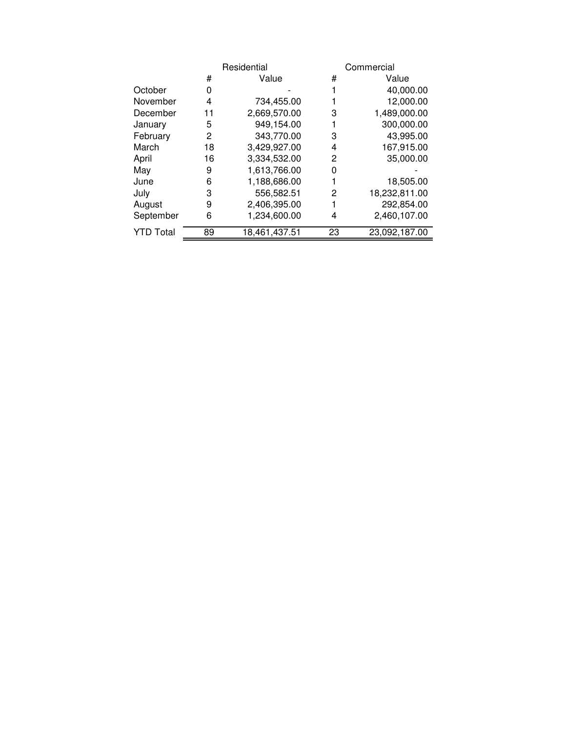|                  |    | Residential   |    | Commercial    |  |  |
|------------------|----|---------------|----|---------------|--|--|
|                  | #  | Value         | #  | Value         |  |  |
| October          | 0  |               |    | 40,000.00     |  |  |
| November         | 4  | 734,455.00    |    | 12,000.00     |  |  |
| December         | 11 | 2,669,570.00  | 3  | 1,489,000.00  |  |  |
| January          | 5  | 949,154.00    |    | 300,000.00    |  |  |
| February         | 2  | 343,770.00    | 3  | 43,995.00     |  |  |
| March            | 18 | 3,429,927.00  | 4  | 167,915.00    |  |  |
| April            | 16 | 3,334,532.00  | 2  | 35,000.00     |  |  |
| May              | 9  | 1,613,766.00  | 0  |               |  |  |
| June             | 6  | 1,188,686.00  |    | 18,505.00     |  |  |
| July             | 3  | 556,582.51    | 2  | 18,232,811.00 |  |  |
| August           | 9  | 2,406,395.00  |    | 292,854.00    |  |  |
| September        | 6  | 1,234,600.00  | 4  | 2,460,107.00  |  |  |
| <b>YTD Total</b> | 89 | 18,461,437.51 | 23 | 23,092,187.00 |  |  |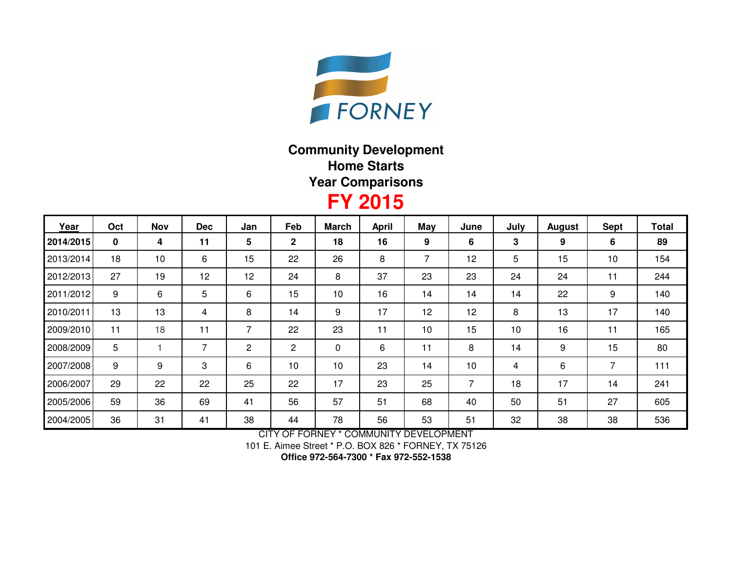

## **Community DevelopmentHome StartsYear Comparisons**

## **FY 2015**

| Year      | Oct | <b>Nov</b> | <b>Dec</b> | Jan | Feb            | <b>March</b> | <b>April</b> | May | June | July | <b>August</b> | Sept | <b>Total</b> |
|-----------|-----|------------|------------|-----|----------------|--------------|--------------|-----|------|------|---------------|------|--------------|
| 2014/2015 | 0   | 4          | 11         | 5   | $\mathbf{2}$   | 18           | 16           | 9   | 6    | 3    | 9             | 6    | 89           |
| 2013/2014 | 18  | 10         | 6          | 15  | 22             | 26           | 8            | 7   | 12   | 5    | 15            | 10   | 154          |
| 2012/2013 | 27  | 19         | 12         | 12  | 24             | 8            | 37           | 23  | 23   | 24   | 24            | 11   | 244          |
| 2011/2012 | 9   | 6          | 5          | 6   | 15             | 10           | 16           | 14  | 14   | 14   | 22            | 9    | 140          |
| 2010/2011 | 13  | 13         | 4          | 8   | 14             | 9            | 17           | 12  | 12   | 8    | 13            | 17   | 140          |
| 2009/2010 | 11  | 18         | 11         | 7   | 22             | 23           | 11           | 10  | 15   | 10   | 16            | 11   | 165          |
| 2008/2009 | 5   |            | 7          | 2   | $\overline{2}$ | 0            | 6            | 11  | 8    | 14   | 9             | 15   | 80           |
| 2007/2008 | 9   | 9          | 3          | 6   | 10             | 10           | 23           | 14  | 10   | 4    | 6             | 7    | 111          |
| 2006/2007 | 29  | 22         | 22         | 25  | 22             | 17           | 23           | 25  | 7    | 18   | 17            | 14   | 241          |
| 2005/2006 | 59  | 36         | 69         | 41  | 56             | 57           | 51           | 68  | 40   | 50   | 51            | 27   | 605          |
| 2004/2005 | 36  | 31         | 41         | 38  | 44             | 78           | 56           | 53  | 51   | 32   | 38            | 38   | 536          |

CITY OF FORNEY \* COMMUNITY DEVELOPMENT

101 E. Aimee Street \* P.O. BOX 826 \* FORNEY, TX 75126

**Office 972-564-7300 \* Fax 972-552-1538**